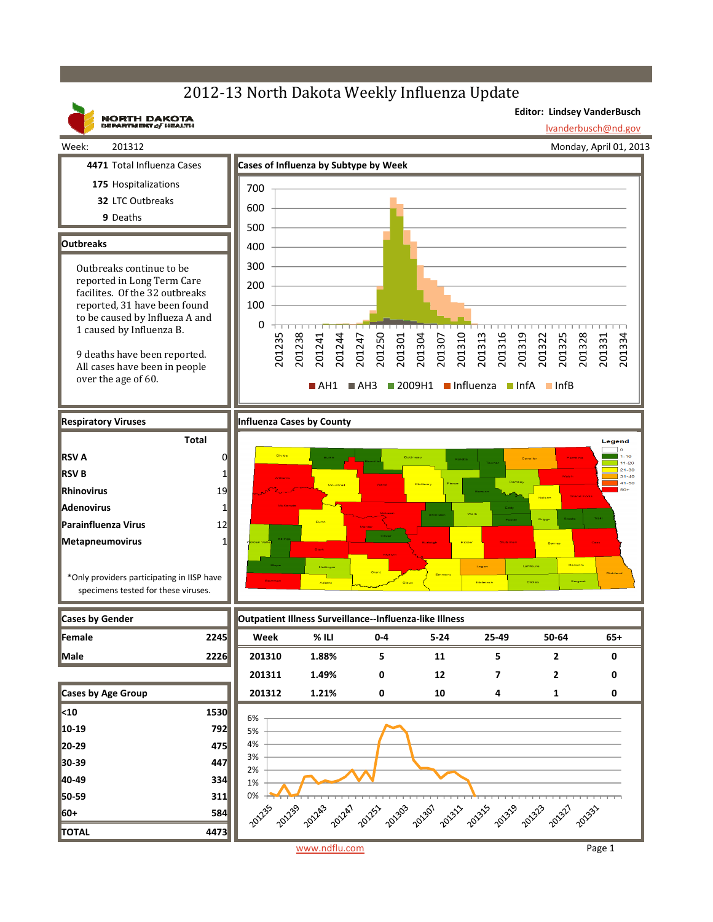# 2012-13 North Dakota Weekly Influenza Update

**Editor: Lindsey VanderBusch**

lvanderbusch@nd.gov

## **NORTH DAKOTA**<br>DEPARTMENT of HEALTH Week: 201312

Monday, April 01, 2013

- 
- **175** Hospitalizations
- **32** LTC Outbreaks
	- **9** Deaths

### **Outbreaks**

**RSV A RSV B Rhinovirus Adenovirus**

**Parainfluenza Virus Metapneumovirus**

Outbreaks continue to be reported in Long Term Care facilites. Of the 32 outbreaks reported, 31 have been found to be caused by Influeza A and 1 caused by Influenza B.

9 deaths have been reported. All cases have been in people over the age of 60.

\*Only providers participating in IISP have specimens tested for these viruses.

**Total**



#### **Respiratory** Viruses **Influenza Cases** by County





www.ndflu.com Page 1